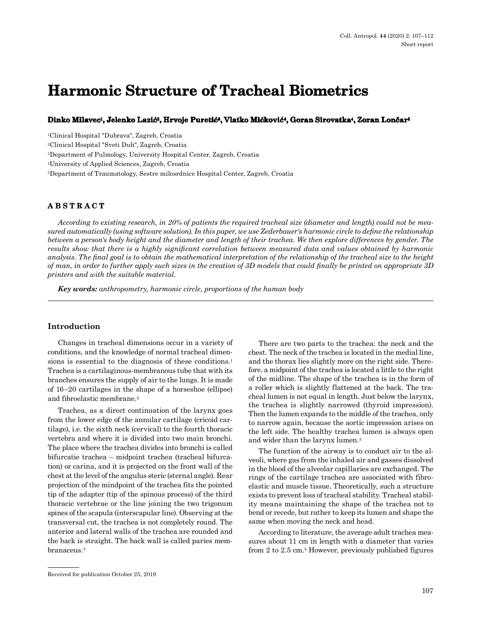# **Harmonic Structure of Tracheal Biometrics**

**Dinko Milavec1, Jelenko Lazić2, Hrvoje Puretić3, Vlatko Mićković4, Goran Sirovatka4, Zoran Lončar<sup>5</sup>**

1Clinical Hospital "Dubrava", Zagreb, Croatia

2Clinical Hospital "Sveti Duh", Zagreb, Croatia

3Department of Pulmology, University Hospital Center, Zagreb, Croatia

4University of Applied Sciences, Zagreb, Croatia

5Department of Traumatology, Sestre milosrdnice Hospital Center, Zagreb, Croatia

## **ABSTRACT**

*According to existing research, in 20% of patients the required tracheal size (diameter and length) could not be measured automatically (using software solution). In this paper, we use Zederbauer's harmonic circle to define the relationship between a person's body height and the diameter and length of their trachea. We then explore differences by gender. The results show that there is a highly significant correlation between measured data and values obtained by harmonic analysis. The final goal is to obtain the mathematical interpretation of the relationship of the tracheal size to the height of man, in order to further apply such sizes in the creation of 3D models that could finally be printed on appropriate 3D printers and with the suitable material.*

*Key words: anthropometry, harmonic circle, proportions of the human body*

## **Introduction**

Changes in tracheal dimensions occur in a variety of conditions, and the knowledge of normal tracheal dimensions is essential to the diagnosis of these conditions.<sup>1</sup> Trachea is a cartilaginous-membranous tube that with its branches ensures the supply of air to the lungs. It is made of 16–20 cartilages in the shape of a horseshoe (ellipse) and fibroelastic membrane.2

Trachea, as a direct continuation of the larynx goes from the lower edge of the annular cartilage (cricoid cartilage), i.e. the sixth neck (cervical) to the fourth thoracic vertebra and where it is divided into two main bronchi. The place where the trachea divides into bronchi is called bifurcatie trachea – midpoint trachea (tracheal bifurcation) or carina, and it is projected on the front wall of the chest at the level of the angulus steric (sternal angle). Rear projection of the mindpoint of the trachea fits the pointed tip of the adapter (tip of the spinous process) of the third thoracic vertebrae or the line joining the two trigonum spines of the scapula (interscapular line). Observing at the transversal cut, the trachea is not completely round. The anterior and lateral walls of the trachea are rounded and the back is straight. The back wall is called paries membranaceus.3

There are two parts to the trachea: the neck and the chest. The neck of the trachea is located in the medial line, and the thorax lies slightly more on the right side. Therefore, a midpoint of the trachea is located a little to the right of the midline. The shape of the trachea is in the form of a roller which is slightly flattened at the back. The tracheal lumen is not equal in length. Just below the larynx, the trachea is slightly narrowed (thyroid impression). Then the lumen expands to the middle of the trachea, only to narrow again, because the aortic impression arises on the left side. The healthy trachea lumen is always open and wider than the larynx lumen.3

The function of the airway is to conduct air to the alveoli, where gas from the inhaled air and gasses dissolved in the blood of the alveolar capillaries are exchanged. The rings of the cartilage trachea are associated with fibroelastic and muscle tissue. Theoretically, such a structure exists to prevent loss of tracheal stability. Tracheal stability means maintaining the shape of the trachea not to bend or recede, but rather to keep its lumen and shape the same when moving the neck and head.

According to literature, the average adult trachea measures about 11 cm in length with a diameter that varies from 2 to 2.5 cm.4 However, previously published figures

Received for publication October 25, 2019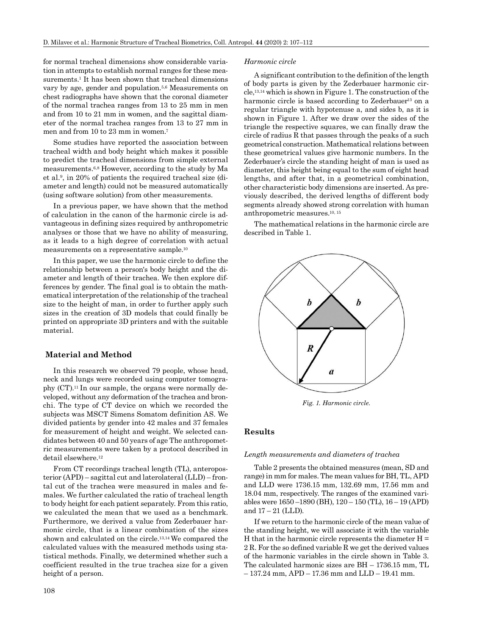for normal tracheal dimensions show considerable variation in attempts to establish normal ranges for these measurements.<sup>1</sup> It has been shown that tracheal dimensions vary by age, gender and population.5,6 Measurements on chest radiographs have shown that the coronal diameter of the normal trachea ranges from 13 to 25 mm in men and from 10 to 21 mm in women, and the sagittal diameter of the normal trachea ranges from 13 to 27 mm in men and from 10 to 23 mm in women.7

Some studies have reported the association between tracheal width and body height which makes it possible to predict the tracheal dimensions from simple external measurements.6,8 However, according to the study by Ma et al.9, in 20% of patients the required tracheal size (diameter and length) could not be measured automatically (using software solution) from other measurements.

In a previous paper, we have shown that the method of calculation in the canon of the harmonic circle is advantageous in defining sizes required by anthropometric analyses or those that we have no ability of measuring, as it leads to a high degree of correlation with actual measurements on a representative sample.10

In this paper, we use the harmonic circle to define the relationship between a person's body height and the diameter and length of their trachea. We then explore differences by gender. The final goal is to obtain the mathematical interpretation of the relationship of the tracheal size to the height of man, in order to further apply such sizes in the creation of 3D models that could finally be printed on appropriate 3D printers and with the suitable material.

## **Material and Method**

In this research we observed 79 people, whose head, neck and lungs were recorded using computer tomography (CT).11 In our sample, the organs were normally developed, without any deformation of the trachea and bronchi. The type of CT device on which we recorded the subjects was MSCT Simens Somatom definition AS. We divided patients by gender into 42 males and 37 females for measurement of height and weight. We selected candidates between 40 and 50 years of age The anthropometric measurements were taken by a protocol described in detail elsewhere.12

From CT recordings tracheal length (TL), anteroposterior (APD) – sagittal cut and laterolateral (LLD) – frontal cut of the trachea were measured in males and females. We further calculated the ratio of tracheal length to body height for each patient separately. From this ratio, we calculated the mean that we used as a benchmark. Furthermore, we derived a value from Zederbauer harmonic circle, that is a linear combination of the sizes shown and calculated on the circle.13,14 We compared the calculated values with the measured methods using statistical methods. Finally, we determined whether such a coefficient resulted in the true trachea size for a given height of a person.

## 108

#### *Harmonic circle*

A significant contribution to the definition of the length of body parts is given by the Zederbauer harmonic circle,13,14 which is shown in Figure 1. The construction of the harmonic circle is based according to Zederbauer<sup>13</sup> on a regular triangle with hypotenuse a, and sides b, as it is shown in Figure 1. After we draw over the sides of the triangle the respective squares, we can finally draw the circle of radius R that passes through the peaks of a such geometrical construction. Mathematical relations between these geometrical values give harmonic numbers. In the Zederbauer's circle the standing height of man is used as diameter, this height being equal to the sum of eight head lengths, and after that, in a geometrical combination, other characteristic body dimensions are inserted. As previously described, the derived lengths of different body segments already showed strong correlation with human anthropometric measures.10, 15

The mathematical relations in the harmonic circle are described in Table 1.



*Fig. 1. Harmonic circle.*

## **Results**

#### *Length measurements and diameters of trachea*

Table 2 presents the obtained measures (mean, SD and range) in mm for males. The mean values for BH, TL, APD and LLD were 1736.15 mm, 132.69 mm, 17.56 mm and 18.04 mm, respectively. The ranges of the examined variables were 1650 –1890 (BH), 120 – 150 (TL), 16 – 19 (APD) and  $17 - 21$  (LLD).

If we return to the harmonic circle of the mean value of the standing height, we will associate it with the variable H that in the harmonic circle represents the diameter  $H =$ 2 R. For the so defined variable R we get the derived values of the harmonic variables in the circle shown in Table 3. The calculated harmonic sizes are BH – 1736.15 mm, TL – 137.24 mm, APD – 17.36 mm and LLD – 19.41 mm.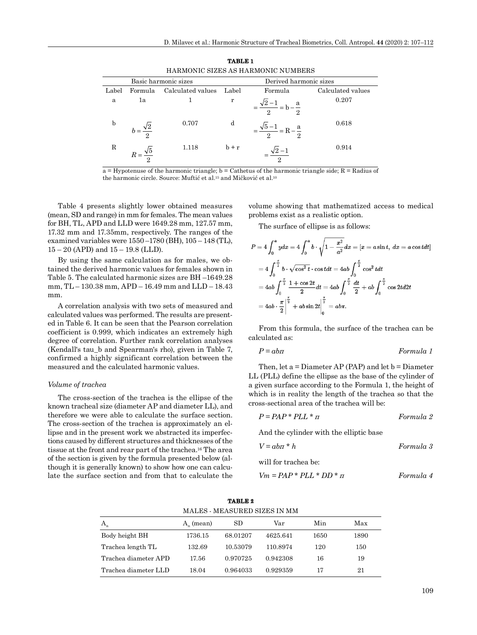| HARMONIC SIZES AS HARMONIC NUMBERS |                        |                      |         |                                             |                   |  |
|------------------------------------|------------------------|----------------------|---------|---------------------------------------------|-------------------|--|
|                                    |                        | Basic harmonic sizes |         | Derived harmonic sizes                      |                   |  |
| Label                              | Formula                | Calculated values    | Label   | Formula                                     | Calculated values |  |
| a                                  | 1a                     |                      | r       | $=\frac{\sqrt{2}-1}{2}$ = b - $\frac{a}{2}$ | 0.207             |  |
| b                                  | $h=\frac{\sqrt{2}}{2}$ | 0.707                | d       | $=\frac{\sqrt{5}-1}{2}$ = R – $\frac{a}{2}$ | 0.618             |  |
| R                                  |                        | 1.118                | $h + r$ |                                             | 0.914             |  |

**TABLE 1**

 $a = Hypotenuse of the harmonic triangle; b = Cathetus of the harmonic triangle iside; R = Radius of$ the harmonic circle. Source: Muftić et al.<sup>15</sup> and Mičković et al.<sup>10</sup>

Table 4 presents slightly lower obtained measures (mean, SD and range) in mm for females. The mean values for BH, TL, APD and LLD were 1649.28 mm, 127.57 mm, 17.32 mm and 17.35mm, respectively. The ranges of the examined variables were 1550 –1780 (BH), 105 – 148 (TL),  $15 - 20$  (APD) and  $15 - 19.8$  (LLD).

By using the same calculation as for males, we obtained the derived harmonic values for females shown in Table 5. The calculated harmonic sizes are BH –1649.28 mm, TL – 130.38 mm, APD – 16.49 mm and LLD – 18.43 mm.

A correlation analysis with two sets of measured and calculated values was performed. The results are presented in Table 6. It can be seen that the Pearson correlation coefficient is 0.999, which indicates an extremely high degree of correlation. Further rank correlation analyses (Kendall's tau\_b and Spearman's rho), given in Table 7, confirmed a highly significant correlation between the measured and the calculated harmonic values.

#### *Volume of trachea*

The cross-section of the trachea is the ellipse of the known tracheal size (diameter AP and diameter LL), and therefore we were able to calculate the surface section. The cross-section of the trachea is approximately an ellipse and in the present work we abstracted its imperfections caused by different structures and thicknesses of the tissue at the front and rear part of the trachea.16 The area of the section is given by the formula presented below (although it is generally known) to show how one can calculate the surface section and from that to calculate the volume showing that mathematized access to medical problems exist as a realistic option.

The surface of ellipse is as follows:

$$
P = 4 \int_0^a y dx = 4 \int_0^a b \cdot \sqrt{1 - \frac{x^2}{a^2}} dx = [x = a \sin t, dx = a \cos t dt]
$$
  
=  $4 \int_0^{\frac{\pi}{2}} b \cdot \sqrt{\cos^2 t} \cdot \cos t dt = 4ab \int_0^{\frac{\pi}{2}} \cos^2 t dt$   
=  $4ab \int_0^{\frac{\pi}{2}} \frac{1 + \cos 2t}{2} dt = 4ab \int_0^{\frac{\pi}{2}} \frac{dt}{2} + ab \int_0^{\frac{\pi}{2}} \cos 2t dt$   
=  $4ab \cdot \frac{\pi}{2} \Big|_0^{\frac{\pi}{2}} + ab \sin 2t \Big|_0^{\frac{\pi}{2}} = ab\pi.$ 

From this formula, the surface of the trachea can be calculated as:

$$
P = abn \t\t\t Formula 1
$$

Then, let  $a =$  Diameter AP (PAP) and let  $b =$  Diameter LL (PLL) define the ellipse as the base of the cylinder of a given surface according to the Formula 1, the height of which is in reality the length of the trachea so that the cross-sectional area of the trachea will be:

$$
P = PAP * PLL * \pi
$$
 *Formula 2*

And the cylinder with the elliptic base

$$
V = abn * h \t\t Formula 3
$$

will for trachea be:

$$
Vm = PAP * PLL * DD * \pi
$$
 *Formula 4*

| $A_n$ (mean) | SD       | Var      | Min                          | Max  |  |
|--------------|----------|----------|------------------------------|------|--|
| 1736.15      | 68.01207 | 4625.641 | 1650                         | 1890 |  |
| 132.69       | 10.53079 | 110.8974 | 120                          | 150  |  |
| 17.56        | 0.970725 | 0.942308 | 16                           | 19   |  |
| 18.04        | 0.964033 | 0.929359 | 17                           | 21   |  |
|              |          |          | MALES - MEASURED SIZES IN MM |      |  |

**TABLE 2**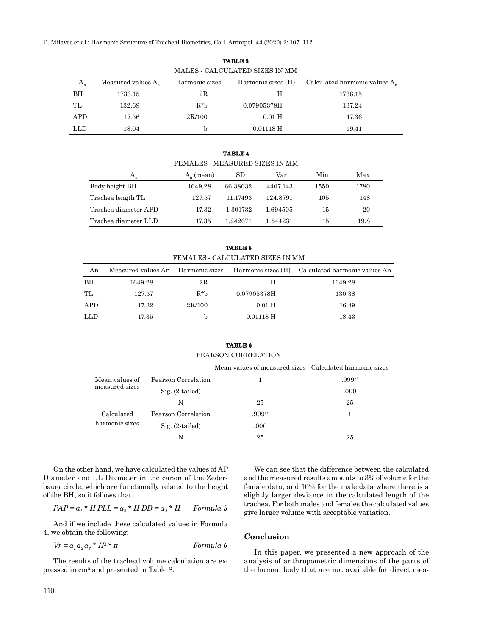| MALES - CALCULATED SIZES IN MM |                       |                |                    |                                           |  |  |
|--------------------------------|-----------------------|----------------|--------------------|-------------------------------------------|--|--|
| $A_{n}$                        | Measured values $A_n$ | Harmonic sizes | Harmonic sizes (H) | Calculated harmonic values A <sub>s</sub> |  |  |
| BH                             | 1736.15               | $2\mathrm{R}$  | H                  | 1736.15                                   |  |  |
| TL.                            | 132.69                | $R^*h$         | 0.07905378H        | 137.24                                    |  |  |
| APD.                           | 17.56                 | 2R/100         | $0.01$ H           | 17.36                                     |  |  |
| LLD                            | 18.04                 | h              | $0.01118$ H        | 19.41                                     |  |  |

**TABLE 3**

**TABLE 4** FEMALES - MEASURED SIZES IN MM  $A_n$  A<sub>n</sub> (mean) SD Var Min Max Body height BH 1649.28 66.38632 4407.143 1550 1780 Trachea length TL 127.57 11.17493 124.8791 105 148 Trachea diameter APD 17.32 1.301732 1.694505 15 20 Trachea diameter LLD 17.35 1.242671 1.544231 15 19.8

**TABLE 5** FEMALES - CALCULATED SIZES IN MM

| An         | Measured values An Harmonic sizes |        |             | Harmonic sizes (H) Calculated harmonic values An |
|------------|-----------------------------------|--------|-------------|--------------------------------------------------|
| BH         | 1649.28                           | 2R     | H           | 1649.28                                          |
| TL         | 127.57                            | $R^*h$ | 0.07905378H | 130.38                                           |
| APD        | 17.32                             | 2R/100 | $0.01$ H    | 16.49                                            |
| <b>LLD</b> | 17.35                             | h      | $0.01118$ H | 18.43                                            |

**TABLE 6** PEARSON CORRELATION

|                |                     | Mean values of measured sizes Calculated harmonic sizes |          |
|----------------|---------------------|---------------------------------------------------------|----------|
| Mean values of | Pearson Correlation |                                                         | $.999**$ |
| measured sizes | $Sig. (2-tailed)$   |                                                         | .000     |
|                | N                   | 25                                                      | 25       |
| Calculated     | Pearson Correlation | .999**                                                  |          |
| harmonic sizes | $Sig. (2-tailed)$   | .000                                                    |          |
|                | N                   | 25                                                      | 25       |

On the other hand, we have calculated the values of AP Diameter and LL Diameter in the canon of the Zederbauer circle, which are functionally related to the height of the BH, so it follows that

$$
PAP = a_1 * H PLL = a_2 * H DD = a_3 * H
$$
Formula 5

And if we include these calculated values in Formula 4, we obtain the following:

$$
Vr = a_1 a_2 a_3 * H^3 * \pi
$$
Formula 6

The results of the tracheal volume calculation are expressed in cm3 and presented in Table 8.

We can see that the difference between the calculated and the measured results amounts to 3% of volume for the female data, and 10% for the male data where there is a slightly larger deviance in the calculated length of the trachea. For both males and females the calculated values give larger volume with acceptable variation.

## **Conclusion**

In this paper, we presented a new approach of the analysis of anthropometric dimensions of the parts of the human body that are not available for direct mea-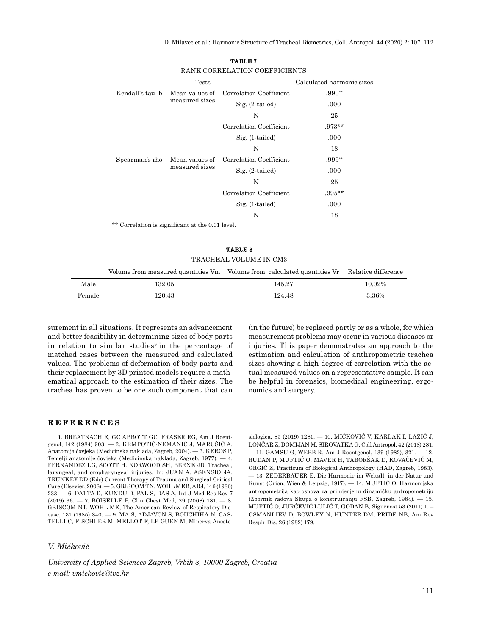|                 | <b>Tests</b>                     |                         | Calculated harmonic sizes |
|-----------------|----------------------------------|-------------------------|---------------------------|
| Kendall's tau b | Mean values of<br>measured sizes | Correlation Coefficient | $.990**$                  |
|                 |                                  | $Sig. (2-tailed)$       | .000                      |
|                 |                                  | N                       | 25                        |
|                 |                                  | Correlation Coefficient | $.973**$                  |
|                 |                                  | $Sig. (1-tailed)$       | .000                      |
|                 |                                  | N                       | 18                        |
| Spearman's rho  | Mean values of<br>measured sizes | Correlation Coefficient | $.999**$                  |
|                 |                                  | $Sig. (2-tailed)$       | .000                      |
|                 |                                  | N                       | 25                        |
|                 |                                  | Correlation Coefficient | $.995**$                  |
|                 |                                  | $Sig. (1-tailed)$       | .000                      |
|                 |                                  | N                       | 18                        |

| <b>TABLE 7</b>                |  |  |  |  |
|-------------------------------|--|--|--|--|
| RANK CORRELATION COEFFICIENTS |  |  |  |  |

\*\* Correlation is significant at the 0.01 level.

**TABLE 8** TRACHEAL VOLUME IN CM3

|        |        | Volume from measured quantities Vm Volume from calculated quantities Vr Relative difference |        |
|--------|--------|---------------------------------------------------------------------------------------------|--------|
| Male   | 132.05 | 145 27                                                                                      | 10.02% |
| Female | 120.43 | 124.48                                                                                      | 3.36%  |

surement in all situations. It represents an advancement and better feasibility in determining sizes of body parts in relation to similar studies<sup>9</sup> in the percentage of matched cases between the measured and calculated values. The problems of deformation of body parts and their replacement by 3D printed models require a mathematical approach to the estimation of their sizes. The trachea has proven to be one such component that can (in the future) be replaced partly or as a whole, for which measurement problems may occur in various diseases or injuries. This paper demonstrates an approach to the estimation and calculation of anthropometric trachea sizes showing a high degree of correlation with the actual measured values on a representative sample. It can be helpful in forensics, biomedical engineering, ergonomics and surgery.

## **REFERENCES**

1. BREATNACH E, GC ABBOTT GC, FRASER RG, Am J Roentgenol, 142 (1984) 903. — 2. KRMPOTIĆ-NEMANIĆ J, MARUŠIĆ A, Anatomija čovjeka (Medicinska naklada, Zagreb, 2004). — 3. KEROS P, Temelji anatomije čovjeka (Medicinska naklada, Zagreb, 1977). — 4. FERNANDEZ LG, SCOTT H. NORWOOD SH, BERNE JD, Tracheal, laryngeal, and oropharyngeal injuries. In: JUAN A. ASENSIO JA, TRUNKEY DD (Eds) Current Therapy of Trauma and Surgical Critical Care (Elsevier, 2008). — 5. GRISCOM TN, WOHL MEB, ARJ, 146 (1986) 233. — 6. DATTA D, KUNDU D, PAL S, DAS A, Int J Med Res Rev 7 (2019) 36. — 7. BOISELLE P, Clin Chest Med, 29 (2008) 181. — 8. GRISCOM NT, WOHL ME, The American Review of Respiratory Disease, 131 (1985) 840. — 9. MA S, ADJAVON S, BOUCHIHA N, CAS-TELLI C, FISCHLER M, MELLOT F, LE GUEN M, Minerva Aneste-

## *V. Mićković*

*University of Applied Sciences Zagreb, Vrbik 8, 10000 Zagreb, Croatia e-mail: vmickovic@tvz.hr*

siologica, 85 (2019) 1281. — 10. MIĆKOVIĆ V, KARLAK I, LAZIĆ J, LONČAR Z, DOMIJAN M, SIROVATKA G, Coll Antropol, 42 (2018) 281. — 11. GAMSU G, WEBB R, Am J Roentgenol, 139 (1982), 321. — 12. RUDAN P, MUFTIĆ O, MAVER H, TABORŠAK D, KOVAČEVIĆ M, GRGIĆ Z, Practicum of Biological Anthropology (HAD, Zagreb, 1983). — 13. ZEDERBAUER E, Die Harmonie im Weltall, in der Natur und Kunst (Orion, Wien & Leipzig, 1917). — 14. MUFTIĆ O, Harmonijska antropometrija kao osnova za primjenjenu dinamičku antropometriju (Zbornik radova Skupa o konstruiranju FSB, Zagreb, 1984). — 15. MUFTIĆ O, JURČEVIĆ LULIĆ T, GODAN B, Sigurnost 53 (2011) 1. – OSMANLIEV D, BOWLEY N, HUNTER DM, PRIDE NB, Am Rev Respir Dis, 26 (1982) 179.